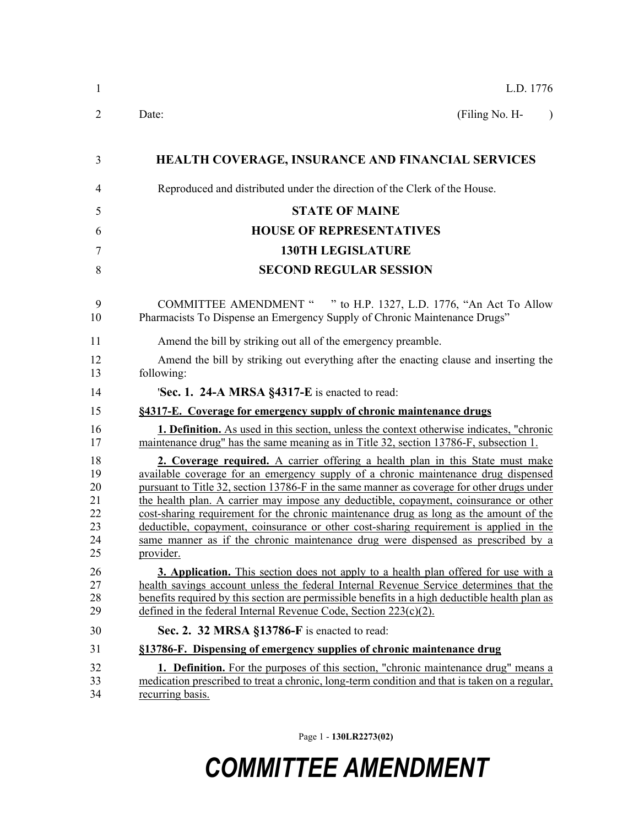| L.D. 1776                                                                                                                                                                                                                                                                                                                                                                                                                                                                                                                                                                                                                                        |
|--------------------------------------------------------------------------------------------------------------------------------------------------------------------------------------------------------------------------------------------------------------------------------------------------------------------------------------------------------------------------------------------------------------------------------------------------------------------------------------------------------------------------------------------------------------------------------------------------------------------------------------------------|
| (Filing No. H-<br>Date:<br>$\lambda$                                                                                                                                                                                                                                                                                                                                                                                                                                                                                                                                                                                                             |
| <b>HEALTH COVERAGE, INSURANCE AND FINANCIAL SERVICES</b>                                                                                                                                                                                                                                                                                                                                                                                                                                                                                                                                                                                         |
| Reproduced and distributed under the direction of the Clerk of the House.                                                                                                                                                                                                                                                                                                                                                                                                                                                                                                                                                                        |
| <b>STATE OF MAINE</b>                                                                                                                                                                                                                                                                                                                                                                                                                                                                                                                                                                                                                            |
| <b>HOUSE OF REPRESENTATIVES</b>                                                                                                                                                                                                                                                                                                                                                                                                                                                                                                                                                                                                                  |
| <b>130TH LEGISLATURE</b>                                                                                                                                                                                                                                                                                                                                                                                                                                                                                                                                                                                                                         |
| <b>SECOND REGULAR SESSION</b>                                                                                                                                                                                                                                                                                                                                                                                                                                                                                                                                                                                                                    |
| COMMITTEE AMENDMENT " " to H.P. 1327, L.D. 1776, "An Act To Allow<br>Pharmacists To Dispense an Emergency Supply of Chronic Maintenance Drugs"                                                                                                                                                                                                                                                                                                                                                                                                                                                                                                   |
| Amend the bill by striking out all of the emergency preamble.                                                                                                                                                                                                                                                                                                                                                                                                                                                                                                                                                                                    |
| Amend the bill by striking out everything after the enacting clause and inserting the<br>following:                                                                                                                                                                                                                                                                                                                                                                                                                                                                                                                                              |
| 'Sec. 1. 24-A MRSA §4317-E is enacted to read:                                                                                                                                                                                                                                                                                                                                                                                                                                                                                                                                                                                                   |
| §4317-E. Coverage for emergency supply of chronic maintenance drugs                                                                                                                                                                                                                                                                                                                                                                                                                                                                                                                                                                              |
| <b>1. Definition.</b> As used in this section, unless the context otherwise indicates, "chronic<br>maintenance drug" has the same meaning as in Title 32, section 13786-F, subsection 1.                                                                                                                                                                                                                                                                                                                                                                                                                                                         |
| 2. Coverage required. A carrier offering a health plan in this State must make<br>available coverage for an emergency supply of a chronic maintenance drug dispensed<br>pursuant to Title 32, section 13786-F in the same manner as coverage for other drugs under<br>the health plan. A carrier may impose any deductible, copayment, coinsurance or other<br>cost-sharing requirement for the chronic maintenance drug as long as the amount of the<br>deductible, copayment, coinsurance or other cost-sharing requirement is applied in the<br>same manner as if the chronic maintenance drug were dispensed as prescribed by a<br>provider. |
| <b>3. Application.</b> This section does not apply to a health plan offered for use with a<br>health savings account unless the federal Internal Revenue Service determines that the<br>benefits required by this section are permissible benefits in a high deductible health plan as<br>defined in the federal Internal Revenue Code, Section 223(c)(2).                                                                                                                                                                                                                                                                                       |
| Sec. 2. 32 MRSA §13786-F is enacted to read:                                                                                                                                                                                                                                                                                                                                                                                                                                                                                                                                                                                                     |
| §13786-F. Dispensing of emergency supplies of chronic maintenance drug                                                                                                                                                                                                                                                                                                                                                                                                                                                                                                                                                                           |
| <b>1. Definition.</b> For the purposes of this section, "chronic maintenance drug" means a<br>medication prescribed to treat a chronic, long-term condition and that is taken on a regular,<br>recurring basis.                                                                                                                                                                                                                                                                                                                                                                                                                                  |

Page 1 - **130LR2273(02)**

## *COMMITTEE AMENDMENT*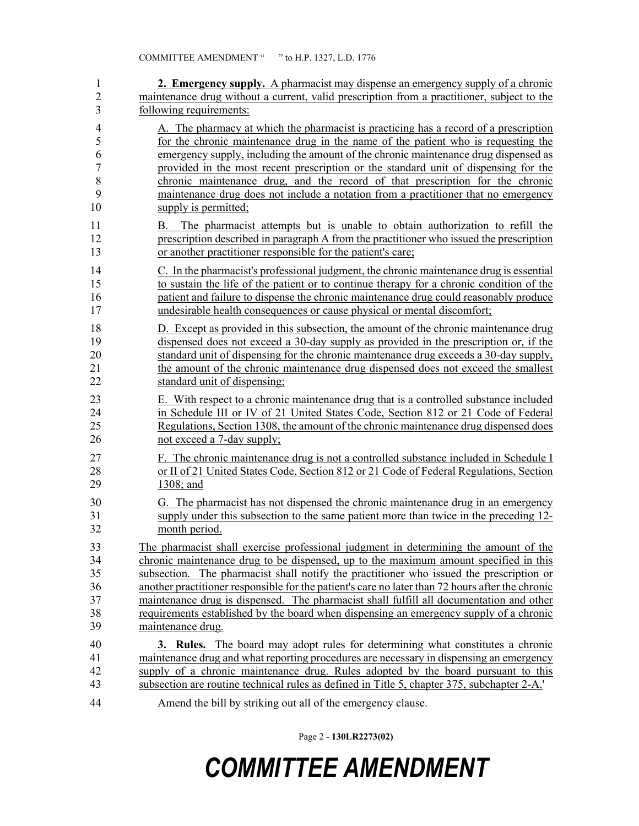| $\mathbf{1}$   | <b>2. Emergency supply.</b> A pharmacist may dispense an emergency supply of a chronic           |
|----------------|--------------------------------------------------------------------------------------------------|
| $\overline{2}$ | maintenance drug without a current, valid prescription from a practitioner, subject to the       |
| 3              | following requirements:                                                                          |
| $\overline{4}$ | A. The pharmacy at which the pharmacist is practicing has a record of a prescription             |
| 5              | for the chronic maintenance drug in the name of the patient who is requesting the                |
| 6              | emergency supply, including the amount of the chronic maintenance drug dispensed as              |
| $\overline{7}$ | provided in the most recent prescription or the standard unit of dispensing for the              |
| 8              | chronic maintenance drug, and the record of that prescription for the chronic                    |
| 9              | maintenance drug does not include a notation from a practitioner that no emergency               |
| 10             | supply is permitted;                                                                             |
| 11             | The pharmacist attempts but is unable to obtain authorization to refill the<br>В.                |
| 12             | prescription described in paragraph A from the practitioner who issued the prescription          |
| 13             | or another practitioner responsible for the patient's care;                                      |
| 14             | C. In the pharmacist's professional judgment, the chronic maintenance drug is essential          |
| 15             | to sustain the life of the patient or to continue therapy for a chronic condition of the         |
| 16             | patient and failure to dispense the chronic maintenance drug could reasonably produce            |
| 17             | undesirable health consequences or cause physical or mental discomfort;                          |
| 18             | D. Except as provided in this subsection, the amount of the chronic maintenance drug             |
| 19             | dispensed does not exceed a 30-day supply as provided in the prescription or, if the             |
| 20             | standard unit of dispensing for the chronic maintenance drug exceeds a 30-day supply,            |
| 21             | the amount of the chronic maintenance drug dispensed does not exceed the smallest                |
| 22             | standard unit of dispensing;                                                                     |
| 23             | E. With respect to a chronic maintenance drug that is a controlled substance included            |
| 24             | in Schedule III or IV of 21 United States Code, Section 812 or 21 Code of Federal                |
| 25             | Regulations, Section 1308, the amount of the chronic maintenance drug dispensed does             |
| 26             | not exceed a 7-day supply;                                                                       |
| 27             | F. The chronic maintenance drug is not a controlled substance included in Schedule I             |
| 28             | or II of 21 United States Code, Section 812 or 21 Code of Federal Regulations, Section           |
| 29             | 1308; and                                                                                        |
| 30             | G. The pharmacist has not dispensed the chronic maintenance drug in an emergency                 |
| 31             | supply under this subsection to the same patient more than twice in the preceding 12-            |
| 32             | month period.                                                                                    |
| 33             | The pharmacist shall exercise professional judgment in determining the amount of the             |
| 34             | chronic maintenance drug to be dispensed, up to the maximum amount specified in this             |
| 35             | subsection. The pharmacist shall notify the practitioner who issued the prescription or          |
| 36             | another practitioner responsible for the patient's care no later than 72 hours after the chronic |
| 37             | maintenance drug is dispensed. The pharmacist shall fulfill all documentation and other          |
| 38             | requirements established by the board when dispensing an emergency supply of a chronic           |
| 39             | maintenance drug.                                                                                |
| 40             | <b>3. Rules.</b> The board may adopt rules for determining what constitutes a chronic            |
| 41             | maintenance drug and what reporting procedures are necessary in dispensing an emergency          |
| 42             | supply of a chronic maintenance drug. Rules adopted by the board pursuant to this                |
| 43             | subsection are routine technical rules as defined in Title 5, chapter 375, subchapter 2-A.       |
| 44             | Amend the bill by striking out all of the emergency clause.                                      |

Page 2 - **130LR2273(02)**

## *COMMITTEE AMENDMENT*